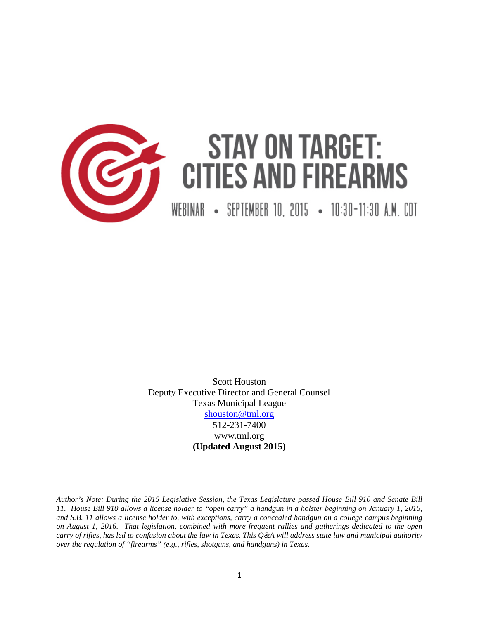

# **STAY ON TARGET: CITIES AND FIREARMS**

WEBINAR • SEPTEMBER 10, 2015 • 10:30-11:30 A.M. CDT

Scott Houston Deputy Executive Director and General Counsel Texas Municipal League [shouston@tml.org](mailto:shouston@tml.org) 512-231-7400 www.tml.org **(Updated August 2015)**

*Author's Note: During the 2015 Legislative Session, the Texas Legislature passed House Bill 910 and Senate Bill 11. House Bill 910 allows a license holder to "open carry" a handgun in a holster beginning on January 1, 2016, and S.B. 11 allows a license holder to, with exceptions, carry a concealed handgun on a college campus beginning on August 1, 2016. That legislation, combined with more frequent rallies and gatherings dedicated to the open carry of rifles, has led to confusion about the law in Texas. This Q&A will address state law and municipal authority over the regulation of "firearms" (e.g., rifles, shotguns, and handguns) in Texas.*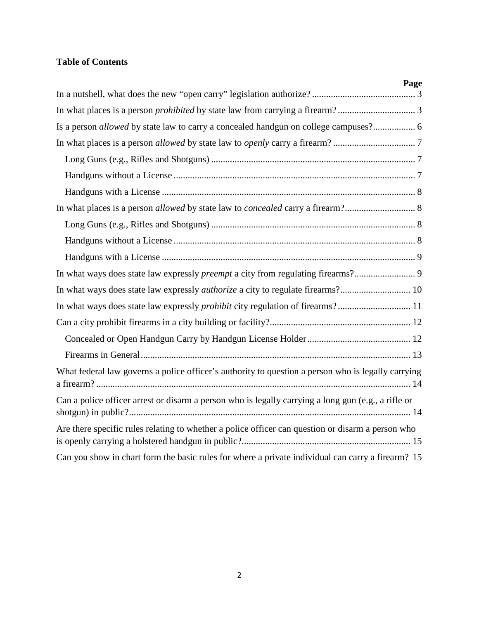# **Table of Contents**

| Page                                                                                                |
|-----------------------------------------------------------------------------------------------------|
|                                                                                                     |
|                                                                                                     |
| Is a person allowed by state law to carry a concealed handgun on college campuses? 6                |
|                                                                                                     |
|                                                                                                     |
|                                                                                                     |
|                                                                                                     |
| In what places is a person allowed by state law to concealed carry a firearm? 8                     |
|                                                                                                     |
|                                                                                                     |
|                                                                                                     |
|                                                                                                     |
|                                                                                                     |
|                                                                                                     |
|                                                                                                     |
|                                                                                                     |
|                                                                                                     |
| What federal law governs a police officer's authority to question a person who is legally carrying  |
| Can a police officer arrest or disarm a person who is legally carrying a long gun (e.g., a rifle or |
| Are there specific rules relating to whether a police officer can question or disarm a person who   |
| Can you show in chart form the basic rules for where a private individual can carry a firearm? 15   |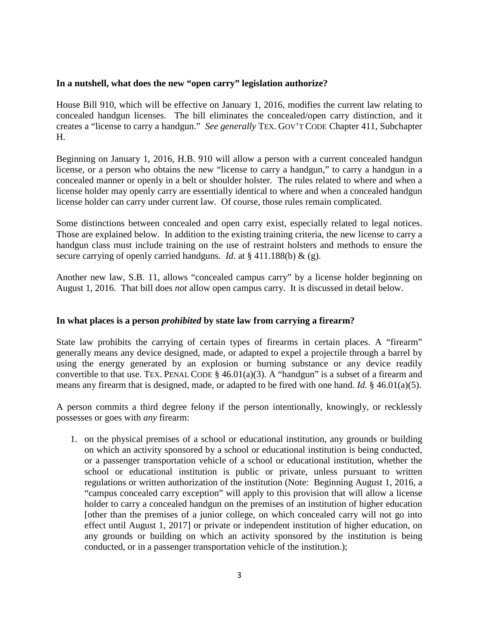#### <span id="page-2-0"></span>**In a nutshell, what does the new "open carry" legislation authorize?**

House Bill 910, which will be effective on January 1, 2016, modifies the current law relating to concealed handgun licenses. The bill eliminates the concealed/open carry distinction, and it creates a "license to carry a handgun." *See generally* TEX. GOV'T CODE Chapter 411, Subchapter H.

Beginning on January 1, 2016, H.B. 910 will allow a person with a current concealed handgun license, or a person who obtains the new "license to carry a handgun," to carry a handgun in a concealed manner or openly in a belt or shoulder holster. The rules related to where and when a license holder may openly carry are essentially identical to where and when a concealed handgun license holder can carry under current law. Of course, those rules remain complicated.

Some distinctions between concealed and open carry exist, especially related to legal notices. Those are explained below. In addition to the existing training criteria, the new license to carry a handgun class must include training on the use of restraint holsters and methods to ensure the secure carrying of openly carried handguns. *Id.* at § 411.188(b) & (g).

Another new law, S.B. 11, allows "concealed campus carry" by a license holder beginning on August 1, 2016. That bill does *not* allow open campus carry. It is discussed in detail below.

#### <span id="page-2-1"></span>**In what places is a person** *prohibited* **by state law from carrying a firearm?**

State law prohibits the carrying of certain types of firearms in certain places. A "firearm" generally means any device designed, made, or adapted to expel a projectile through a barrel by using the energy generated by an explosion or burning substance or any device readily convertible to that use. TEX. PENAL CODE  $\S$  46.01(a)(3). A "handgun" is a subset of a firearm and means any firearm that is designed, made, or adapted to be fired with one hand. *Id.* § 46.01(a)(5).

A person commits a third degree felony if the person intentionally, knowingly, or recklessly possesses or goes with *any* firearm:

1. on the physical premises of a school or educational institution, any grounds or building on which an activity sponsored by a school or educational institution is being conducted, or a passenger transportation vehicle of a school or educational institution, whether the school or educational institution is public or private, unless pursuant to written regulations or written authorization of the institution (Note: Beginning August 1, 2016, a "campus concealed carry exception" will apply to this provision that will allow a license holder to carry a concealed handgun on the premises of an institution of higher education [other than the premises of a junior college, on which concealed carry will not go into effect until August 1, 2017] or private or independent institution of higher education, on any grounds or building on which an activity sponsored by the institution is being conducted, or in a passenger transportation vehicle of the institution.);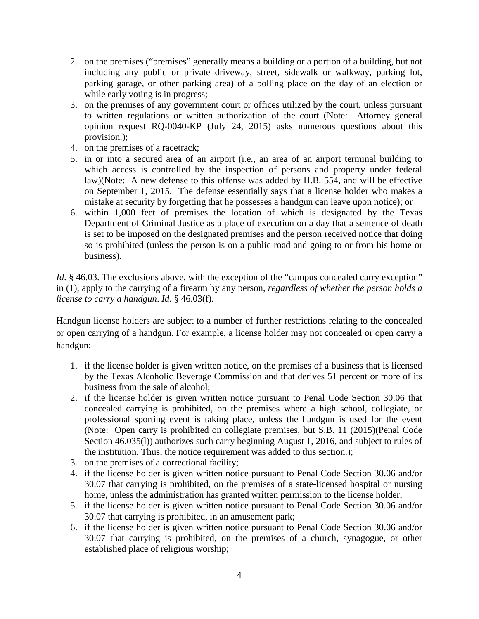- 2. on the premises ("premises" generally means a building or a portion of a building, but not including any public or private driveway, street, sidewalk or walkway, parking lot, parking garage, or other parking area) of a polling place on the day of an election or while early voting is in progress;
- 3. on the premises of any government court or offices utilized by the court, unless pursuant to written regulations or written authorization of the court (Note: Attorney general opinion request RQ-0040-KP (July 24, 2015) asks numerous questions about this provision.);
- 4. on the premises of a racetrack;
- 5. in or into a secured area of an airport (i.e., an area of an airport terminal building to which access is controlled by the inspection of persons and property under federal law)(Note: A new defense to this offense was added by H.B. 554, and will be effective on September 1, 2015. The defense essentially says that a license holder who makes a mistake at security by forgetting that he possesses a handgun can leave upon notice); or
- 6. within 1,000 feet of premises the location of which is designated by the Texas Department of Criminal Justice as a place of execution on a day that a sentence of death is set to be imposed on the designated premises and the person received notice that doing so is prohibited (unless the person is on a public road and going to or from his home or business).

*Id.* § 46.03. The exclusions above, with the exception of the "campus concealed carry exception" in (1), apply to the carrying of a firearm by any person, *regardless of whether the person holds a license to carry a handgun*. *Id*. § 46.03(f).

Handgun license holders are subject to a number of further restrictions relating to the concealed or open carrying of a handgun. For example, a license holder may not concealed or open carry a handgun:

- 1. if the license holder is given written notice, on the premises of a business that is licensed by the Texas Alcoholic Beverage Commission and that derives 51 percent or more of its business from the sale of alcohol;
- 2. if the license holder is given written notice pursuant to Penal Code Section 30.06 that concealed carrying is prohibited, on the premises where a high school, collegiate, or professional sporting event is taking place, unless the handgun is used for the event (Note: Open carry is prohibited on collegiate premises, but S.B. 11 (2015)(Penal Code Section 46.035(l)) authorizes such carry beginning August 1, 2016, and subject to rules of the institution. Thus, the notice requirement was added to this section.);
- 3. on the premises of a correctional facility;
- 4. if the license holder is given written notice pursuant to Penal Code Section 30.06 and/or 30.07 that carrying is prohibited, on the premises of a state-licensed hospital or nursing home, unless the administration has granted written permission to the license holder;
- 5. if the license holder is given written notice pursuant to Penal Code Section 30.06 and/or 30.07 that carrying is prohibited, in an amusement park;
- 6. if the license holder is given written notice pursuant to Penal Code Section 30.06 and/or 30.07 that carrying is prohibited, on the premises of a church, synagogue, or other established place of religious worship;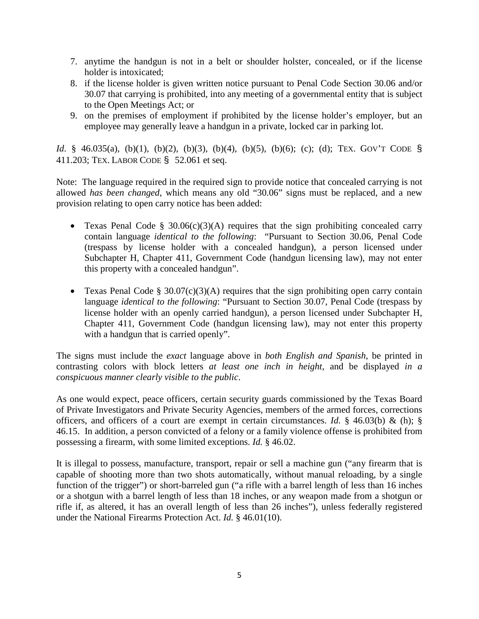- 7. anytime the handgun is not in a belt or shoulder holster, concealed, or if the license holder is intoxicated;
- 8. if the license holder is given written notice pursuant to Penal Code Section 30.06 and/or 30.07 that carrying is prohibited, into any meeting of a governmental entity that is subject to the Open Meetings Act; or
- 9. on the premises of employment if prohibited by the license holder's employer, but an employee may generally leave a handgun in a private, locked car in parking lot.

*Id.* § 46.035(a), (b)(1), (b)(2), (b)(3), (b)(4), (b)(5), (b)(6); (c); (d); TEX. GOV'T CODE § 411.203; TEX. LABOR CODE § 52.061 et seq.

Note: The language required in the required sign to provide notice that concealed carrying is not allowed *has been changed*, which means any old "30.06" signs must be replaced, and a new provision relating to open carry notice has been added:

- Texas Penal Code §  $30.06(c)(3)(A)$  requires that the sign prohibiting concealed carry contain language *identical to the following*: "Pursuant to Section 30.06, Penal Code (trespass by license holder with a concealed handgun), a person licensed under Subchapter H, Chapter 411, Government Code (handgun licensing law), may not enter this property with a concealed handgun".
- Texas Penal Code § 30.07(c)(3)(A) requires that the sign prohibiting open carry contain language *identical to the following*: "Pursuant to Section 30.07, Penal Code (trespass by license holder with an openly carried handgun), a person licensed under Subchapter H, Chapter 411, Government Code (handgun licensing law), may not enter this property with a handgun that is carried openly".

The signs must include the *exact* language above in *both English and Spanish,* be printed in contrasting colors with block letters *at least one inch in height*, and be displayed *in a conspicuous manner clearly visible to the public*.

As one would expect, peace officers, certain security guards commissioned by the Texas Board of Private Investigators and Private Security Agencies, members of the armed forces, corrections officers, and officers of a court are exempt in certain circumstances. *Id.* § 46.03(b) & (h); § 46.15. In addition, a person convicted of a felony or a family violence offense is prohibited from possessing a firearm, with some limited exceptions. *Id.* § 46.02.

It is illegal to possess, manufacture, transport, repair or sell a machine gun ("any firearm that is capable of shooting more than two shots automatically, without manual reloading, by a single function of the trigger") or short-barreled gun ("a rifle with a barrel length of less than 16 inches or a shotgun with a barrel length of less than 18 inches, or any weapon made from a shotgun or rifle if, as altered, it has an overall length of less than 26 inches"), unless federally registered under the National Firearms Protection Act. *Id.* § 46.01(10).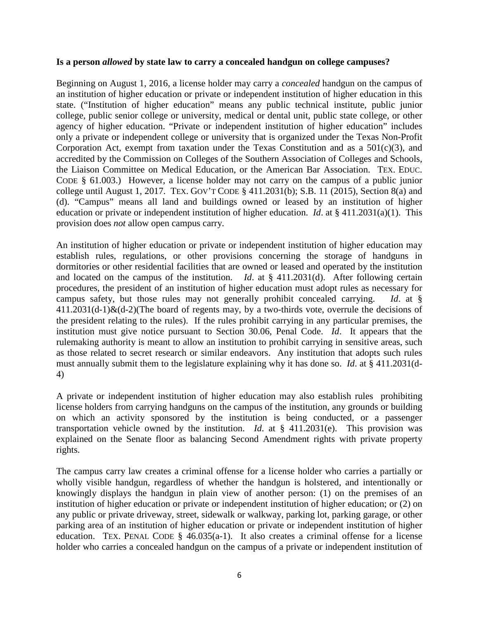#### <span id="page-5-0"></span>**Is a person** *allowed* **by state law to carry a concealed handgun on college campuses?**

Beginning on August 1, 2016, a license holder may carry a *concealed* handgun on the campus of an institution of higher education or private or independent institution of higher education in this state. ("Institution of higher education" means any public technical institute, public junior college, public senior college or university, medical or dental unit, public state college, or other agency of higher education. "Private or independent institution of higher education" includes only a private or independent college or university that is organized under the Texas Non-Profit Corporation Act, exempt from taxation under the Texas Constitution and as a  $501(c)(3)$ , and accredited by the Commission on Colleges of the Southern Association of Colleges and Schools, the Liaison Committee on Medical Education, or the American Bar Association. TEX. EDUC. CODE § 61.003.) However, a license holder may not carry on the campus of a public junior college until August 1, 2017. TEX. GOV'T CODE § 411.2031(b); S.B. 11 (2015), Section 8(a) and (d). "Campus" means all land and buildings owned or leased by an institution of higher education or private or independent institution of higher education. *Id*. at § 411.2031(a)(1). This provision does *not* allow open campus carry.

An institution of higher education or private or independent institution of higher education may establish rules, regulations, or other provisions concerning the storage of handguns in dormitories or other residential facilities that are owned or leased and operated by the institution and located on the campus of the institution. *Id*. at § 411.2031(d). After following certain procedures, the president of an institution of higher education must adopt rules as necessary for campus safety, but those rules may not generally prohibit concealed carrying. *Id*. at §  $411.2031(d-1)$ &(d-2)(The board of regents may, by a two-thirds vote, overrule the decisions of the president relating to the rules). If the rules prohibit carrying in any particular premises, the institution must give notice pursuant to Section 30.06, Penal Code. *Id*. It appears that the rulemaking authority is meant to allow an institution to prohibit carrying in sensitive areas, such as those related to secret research or similar endeavors. Any institution that adopts such rules must annually submit them to the legislature explaining why it has done so. *Id*. at § 411.2031(d-4)

A private or independent institution of higher education may also establish rules prohibiting license holders from carrying handguns on the campus of the institution, any grounds or building on which an activity sponsored by the institution is being conducted, or a passenger transportation vehicle owned by the institution. *Id*. at § 411.2031(e). This provision was explained on the Senate floor as balancing Second Amendment rights with private property rights.

The campus carry law creates a criminal offense for a license holder who carries a partially or wholly visible handgun, regardless of whether the handgun is holstered, and intentionally or knowingly displays the handgun in plain view of another person: (1) on the premises of an institution of higher education or private or independent institution of higher education; or (2) on any public or private driveway, street, sidewalk or walkway, parking lot, parking garage, or other parking area of an institution of higher education or private or independent institution of higher education. TEX. PENAL CODE  $\S$  46.035(a-1). It also creates a criminal offense for a license holder who carries a concealed handgun on the campus of a private or independent institution of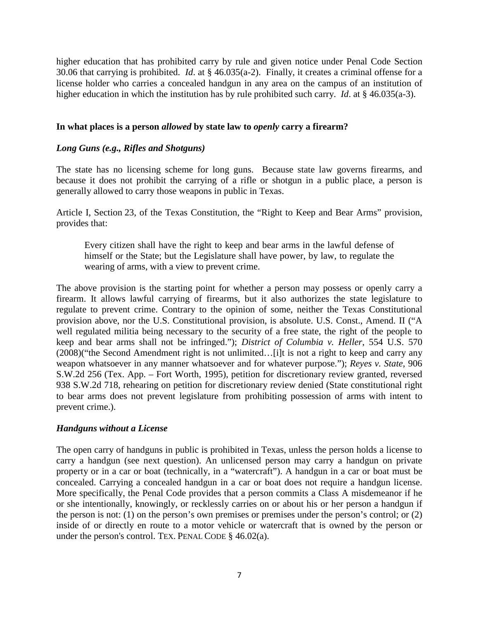higher education that has prohibited carry by rule and given notice under Penal Code Section 30.06 that carrying is prohibited. *Id*. at § 46.035(a-2). Finally, it creates a criminal offense for a license holder who carries a concealed handgun in any area on the campus of an institution of higher education in which the institution has by rule prohibited such carry. *Id*. at § 46.035(a-3).

#### <span id="page-6-0"></span>**In what places is a person** *allowed* **by state law to** *openly* **carry a firearm?**

#### <span id="page-6-1"></span>*Long Guns (e.g., Rifles and Shotguns)*

The state has no licensing scheme for long guns. Because state law governs firearms, and because it does not prohibit the carrying of a rifle or shotgun in a public place, a person is generally allowed to carry those weapons in public in Texas.

Article I, Section 23, of the Texas Constitution, the "Right to Keep and Bear Arms" provision, provides that:

Every citizen shall have the right to keep and bear arms in the lawful defense of himself or the State; but the Legislature shall have power, by law, to regulate the wearing of arms, with a view to prevent crime.

The above provision is the starting point for whether a person may possess or openly carry a firearm. It allows lawful carrying of firearms, but it also authorizes the state legislature to regulate to prevent crime. Contrary to the opinion of some, neither the Texas Constitutional provision above, nor the U.S. Constitutional provision, is absolute. U.S. Const., Amend. II ("A well regulated militia being necessary to the security of a free state, the right of the people to keep and bear arms shall not be infringed."); *District of Columbia v. Heller*, 554 U.S. 570 (2008)("the Second Amendment right is not unlimited…[i]t is not a right to keep and carry any weapon whatsoever in any manner whatsoever and for whatever purpose."); *Reyes v. State*, 906 S.W.2d 256 (Tex. App. – Fort Worth, 1995), petition for discretionary review granted, reversed 938 S.W.2d 718, rehearing on petition for discretionary review denied (State constitutional right to bear arms does not prevent legislature from prohibiting possession of arms with intent to prevent crime.).

#### <span id="page-6-2"></span>*Handguns without a License*

The open carry of handguns in public is prohibited in Texas, unless the person holds a license to carry a handgun (see next question). An unlicensed person may carry a handgun on private property or in a car or boat (technically, in a "watercraft"). A handgun in a car or boat must be concealed. Carrying a concealed handgun in a car or boat does not require a handgun license. More specifically, the Penal Code provides that a person commits a Class A misdemeanor if he or she intentionally, knowingly, or recklessly carries on or about his or her person a handgun if the person is not: (1) on the person's own premises or premises under the person's control; or (2) inside of or directly en route to a motor vehicle or watercraft that is owned by the person or under the person's control. TEX. PENAL CODE § 46.02(a).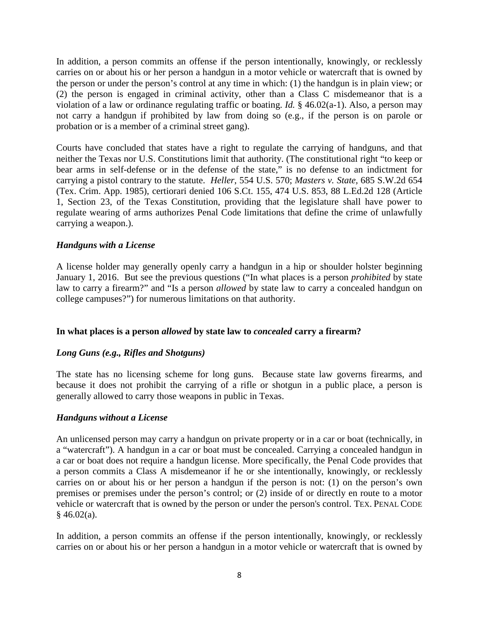In addition, a person commits an offense if the person intentionally, knowingly, or recklessly carries on or about his or her person a handgun in a motor vehicle or watercraft that is owned by the person or under the person's control at any time in which: (1) the handgun is in plain view; or (2) the person is engaged in criminal activity, other than a Class C misdemeanor that is a violation of a law or ordinance regulating traffic or boating. *Id.* § 46.02(a-1). Also, a person may not carry a handgun if prohibited by law from doing so (e.g., if the person is on parole or probation or is a member of a criminal street gang).

Courts have concluded that states have a right to regulate the carrying of handguns, and that neither the Texas nor U.S. Constitutions limit that authority. (The constitutional right "to keep or bear arms in self-defense or in the defense of the state," is no defense to an indictment for carrying a pistol contrary to the statute. *Heller*, 554 U.S. 570; *Masters v. State,* 685 S.W.2d 654 (Tex. Crim. App. 1985), certiorari denied 106 S.Ct. 155, 474 U.S. 853, 88 L.Ed.2d 128 (Article 1, Section 23, of the Texas Constitution, providing that the legislature shall have power to regulate wearing of arms authorizes Penal Code limitations that define the crime of unlawfully carrying a weapon.).

# <span id="page-7-0"></span>*Handguns with a License*

A license holder may generally openly carry a handgun in a hip or shoulder holster beginning January 1, 2016. But see the previous questions ("In what places is a person *prohibited* by state law to carry a firearm?" and "Is a person *allowed* by state law to carry a concealed handgun on college campuses?") for numerous limitations on that authority.

#### <span id="page-7-1"></span>**In what places is a person** *allowed* **by state law to** *concealed* **carry a firearm?**

#### <span id="page-7-2"></span>*Long Guns (e.g., Rifles and Shotguns)*

The state has no licensing scheme for long guns. Because state law governs firearms, and because it does not prohibit the carrying of a rifle or shotgun in a public place, a person is generally allowed to carry those weapons in public in Texas.

#### <span id="page-7-3"></span>*Handguns without a License*

An unlicensed person may carry a handgun on private property or in a car or boat (technically, in a "watercraft"). A handgun in a car or boat must be concealed. Carrying a concealed handgun in a car or boat does not require a handgun license. More specifically, the Penal Code provides that a person commits a Class A misdemeanor if he or she intentionally, knowingly, or recklessly carries on or about his or her person a handgun if the person is not: (1) on the person's own premises or premises under the person's control; or (2) inside of or directly en route to a motor vehicle or watercraft that is owned by the person or under the person's control. TEX. PENAL CODE  $§$  46.02(a).

In addition, a person commits an offense if the person intentionally, knowingly, or recklessly carries on or about his or her person a handgun in a motor vehicle or watercraft that is owned by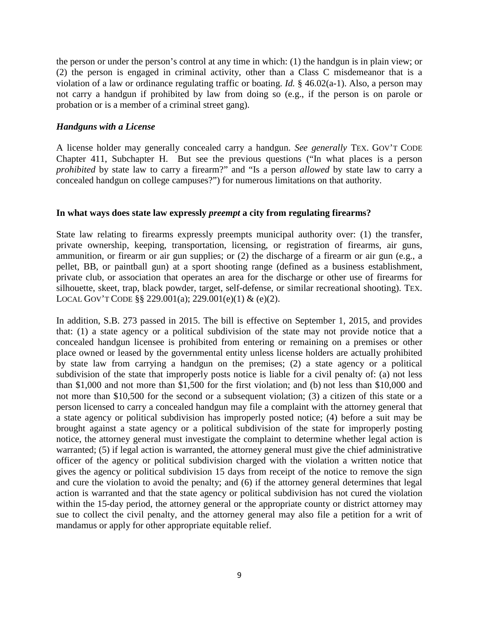the person or under the person's control at any time in which: (1) the handgun is in plain view; or (2) the person is engaged in criminal activity, other than a Class C misdemeanor that is a violation of a law or ordinance regulating traffic or boating. *Id.* § 46.02(a-1). Also, a person may not carry a handgun if prohibited by law from doing so (e.g., if the person is on parole or probation or is a member of a criminal street gang).

#### <span id="page-8-0"></span>*Handguns with a License*

A license holder may generally concealed carry a handgun. *See generally* TEX. GOV'T CODE Chapter 411, Subchapter H. But see the previous questions ("In what places is a person *prohibited* by state law to carry a firearm?" and "Is a person *allowed* by state law to carry a concealed handgun on college campuses?") for numerous limitations on that authority.

#### <span id="page-8-1"></span>**In what ways does state law expressly** *preempt* **a city from regulating firearms?**

State law relating to firearms expressly preempts municipal authority over: (1) the transfer, private ownership, keeping, transportation, licensing, or registration of firearms, air guns, ammunition, or firearm or air gun supplies; or (2) the discharge of a firearm or air gun (e.g., a pellet, BB, or paintball gun) at a sport shooting range (defined as a business establishment, private club, or association that operates an area for the discharge or other use of firearms for silhouette, skeet, trap, black powder, target, self-defense, or similar recreational shooting). TEX. LOCAL GOV'T CODE §§ 229.001(a); 229.001(e)(1) & (e)(2).

In addition, S.B. 273 passed in 2015. The bill is effective on September 1, 2015, and provides that: (1) a state agency or a political subdivision of the state may not provide notice that a concealed handgun licensee is prohibited from entering or remaining on a premises or other place owned or leased by the governmental entity unless license holders are actually prohibited by state law from carrying a handgun on the premises; (2) a state agency or a political subdivision of the state that improperly posts notice is liable for a civil penalty of: (a) not less than \$1,000 and not more than \$1,500 for the first violation; and (b) not less than \$10,000 and not more than \$10,500 for the second or a subsequent violation; (3) a citizen of this state or a person licensed to carry a concealed handgun may file a complaint with the attorney general that a state agency or political subdivision has improperly posted notice; (4) before a suit may be brought against a state agency or a political subdivision of the state for improperly posting notice, the attorney general must investigate the complaint to determine whether legal action is warranted; (5) if legal action is warranted, the attorney general must give the chief administrative officer of the agency or political subdivision charged with the violation a written notice that gives the agency or political subdivision 15 days from receipt of the notice to remove the sign and cure the violation to avoid the penalty; and (6) if the attorney general determines that legal action is warranted and that the state agency or political subdivision has not cured the violation within the 15-day period, the attorney general or the appropriate county or district attorney may sue to collect the civil penalty, and the attorney general may also file a petition for a writ of mandamus or apply for other appropriate equitable relief.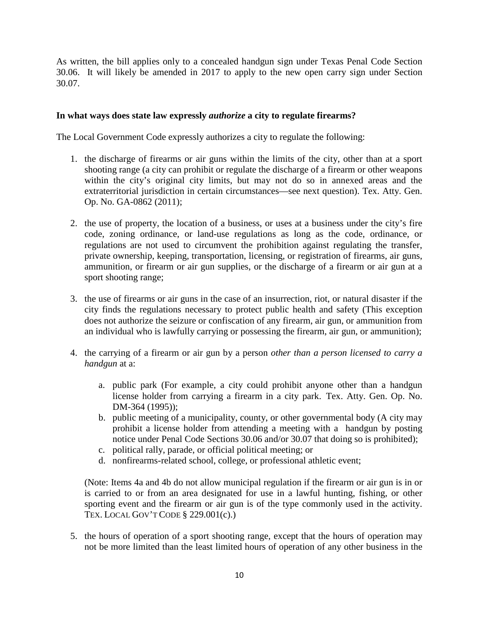As written, the bill applies only to a concealed handgun sign under Texas Penal Code Section 30.06. It will likely be amended in 2017 to apply to the new open carry sign under Section 30.07.

### <span id="page-9-0"></span>**In what ways does state law expressly** *authorize* **a city to regulate firearms?**

The Local Government Code expressly authorizes a city to regulate the following:

- 1. the discharge of firearms or air guns within the limits of the city, other than at a sport shooting range (a city can prohibit or regulate the discharge of a firearm or other weapons within the city's original city limits, but may not do so in annexed areas and the extraterritorial jurisdiction in certain circumstances—see next question). Tex. Atty. Gen. Op. No. GA-0862 (2011);
- 2. the use of property, the location of a business, or uses at a business under the city's fire code, zoning ordinance, or land-use regulations as long as the code, ordinance, or regulations are not used to circumvent the prohibition against regulating the transfer, private ownership, keeping, transportation, licensing, or registration of firearms, air guns, ammunition, or firearm or air gun supplies, or the discharge of a firearm or air gun at a sport shooting range;
- 3. the use of firearms or air guns in the case of an insurrection, riot, or natural disaster if the city finds the regulations necessary to protect public health and safety (This exception does not authorize the seizure or confiscation of any firearm, air gun, or ammunition from an individual who is lawfully carrying or possessing the firearm, air gun, or ammunition);
- 4. the carrying of a firearm or air gun by a person *other than a person licensed to carry a handgun* at a:
	- a. public park (For example, a city could prohibit anyone other than a handgun license holder from carrying a firearm in a city park. Tex. Atty. Gen. Op. No. DM-364 (1995));
	- b. public meeting of a municipality, county, or other governmental body (A city may prohibit a license holder from attending a meeting with a handgun by posting notice under Penal Code Sections 30.06 and/or 30.07 that doing so is prohibited);
	- c. political rally, parade, or official political meeting; or
	- d. nonfirearms-related school, college, or professional athletic event;

(Note: Items 4a and 4b do not allow municipal regulation if the firearm or air gun is in or is carried to or from an area designated for use in a lawful hunting, fishing, or other sporting event and the firearm or air gun is of the type commonly used in the activity. TEX. LOCAL GOV'T CODE § 229.001(c).)

5. the hours of operation of a sport shooting range, except that the hours of operation may not be more limited than the least limited hours of operation of any other business in the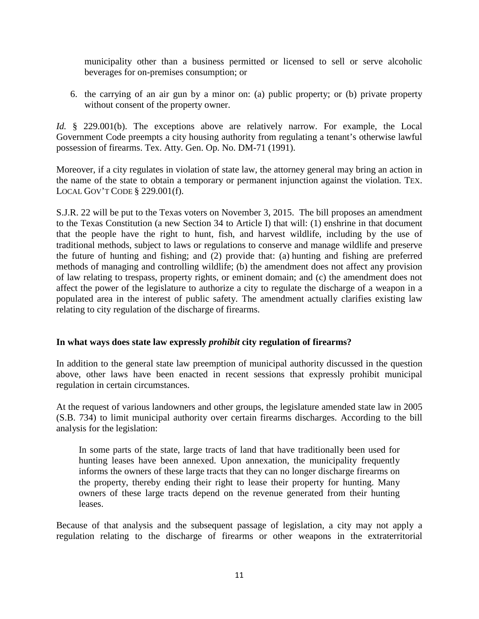municipality other than a business permitted or licensed to sell or serve alcoholic beverages for on-premises consumption; or

6. the carrying of an air gun by a minor on: (a) public property; or (b) private property without consent of the property owner.

*Id.* § 229.001(b). The exceptions above are relatively narrow. For example, the Local Government Code preempts a city housing authority from regulating a tenant's otherwise lawful possession of firearms. Tex. Atty. Gen. Op. No. DM-71 (1991).

Moreover, if a city regulates in violation of state law, the attorney general may bring an action in the name of the state to obtain a temporary or permanent injunction against the violation. TEX. LOCAL GOV'T CODE § 229.001(f).

S.J.R. 22 will be put to the Texas voters on November 3, 2015. The bill proposes an amendment to the Texas Constitution (a new Section 34 to Article I) that will: (1) enshrine in that document that the people have the right to hunt, fish, and harvest wildlife, including by the use of traditional methods, subject to laws or regulations to conserve and manage wildlife and preserve the future of hunting and fishing; and (2) provide that: (a) hunting and fishing are preferred methods of managing and controlling wildlife; (b) the amendment does not affect any provision of law relating to trespass, property rights, or eminent domain; and (c) the amendment does not affect the power of the legislature to authorize a city to regulate the discharge of a weapon in a populated area in the interest of public safety. The amendment actually clarifies existing law relating to city regulation of the discharge of firearms.

#### <span id="page-10-0"></span>**In what ways does state law expressly** *prohibit* **city regulation of firearms?**

In addition to the general state law preemption of municipal authority discussed in the question above, other laws have been enacted in recent sessions that expressly prohibit municipal regulation in certain circumstances.

At the request of various landowners and other groups, the legislature amended state law in 2005 (S.B. 734) to limit municipal authority over certain firearms discharges. According to the bill analysis for the legislation:

In some parts of the state, large tracts of land that have traditionally been used for hunting leases have been annexed. Upon annexation, the municipality frequently informs the owners of these large tracts that they can no longer discharge firearms on the property, thereby ending their right to lease their property for hunting. Many owners of these large tracts depend on the revenue generated from their hunting leases.

Because of that analysis and the subsequent passage of legislation, a city may not apply a regulation relating to the discharge of firearms or other weapons in the extraterritorial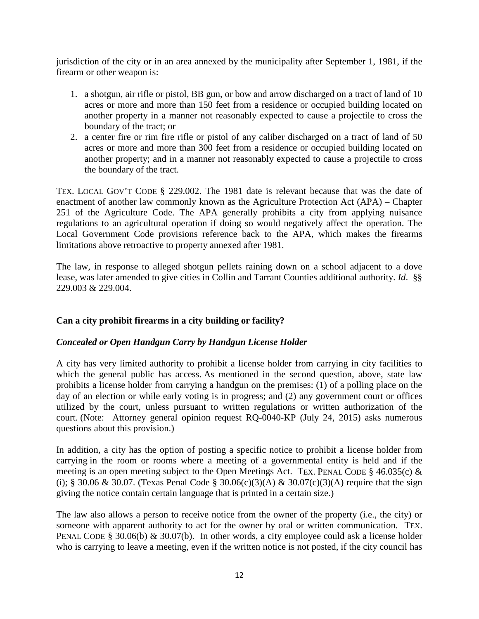jurisdiction of the city or in an area annexed by the municipality after September 1, 1981, if the firearm or other weapon is:

- 1. a shotgun, air rifle or pistol, BB gun, or bow and arrow discharged on a tract of land of 10 acres or more and more than 150 feet from a residence or occupied building located on another property in a manner not reasonably expected to cause a projectile to cross the boundary of the tract; or
- 2. a center fire or rim fire rifle or pistol of any caliber discharged on a tract of land of 50 acres or more and more than 300 feet from a residence or occupied building located on another property; and in a manner not reasonably expected to cause a projectile to cross the boundary of the tract.

TEX. LOCAL GOV'T CODE § 229.002. The 1981 date is relevant because that was the date of enactment of another law commonly known as the Agriculture Protection Act (APA) – Chapter 251 of the Agriculture Code. The APA generally prohibits a city from applying nuisance regulations to an agricultural operation if doing so would negatively affect the operation. The Local Government Code provisions reference back to the APA, which makes the firearms limitations above retroactive to property annexed after 1981.

The law, in response to alleged shotgun pellets raining down on a school adjacent to a dove lease, was later amended to give cities in Collin and Tarrant Counties additional authority. *Id*. §§ 229.003 & 229.004.

# <span id="page-11-0"></span>**Can a city prohibit firearms in a city building or facility?**

#### <span id="page-11-1"></span>*Concealed or Open Handgun Carry by Handgun License Holder*

A city has very limited authority to prohibit a license holder from carrying in city facilities to which the general public has access. As mentioned in the second question, above, state law prohibits a license holder from carrying a handgun on the premises: (1) of a polling place on the day of an election or while early voting is in progress; and (2) any government court or offices utilized by the court, unless pursuant to written regulations or written authorization of the court. (Note: Attorney general opinion request RQ-0040-KP (July 24, 2015) asks numerous questions about this provision.)

In addition, a city has the option of posting a specific notice to prohibit a license holder from carrying in the room or rooms where a meeting of a governmental entity is held and if the meeting is an open meeting subject to the Open Meetings Act. TEX. PENAL CODE § 46.035(c) & (i); § 30.06 & 30.07. (Texas Penal Code § 30.06(c)(3)(A) & 30.07(c)(3)(A) require that the sign giving the notice contain certain language that is printed in a certain size.)

The law also allows a person to receive notice from the owner of the property (i.e., the city) or someone with apparent authority to act for the owner by oral or written communication. TEX. PENAL CODE § 30.06(b) & 30.07(b). In other words, a city employee could ask a license holder who is carrying to leave a meeting, even if the written notice is not posted, if the city council has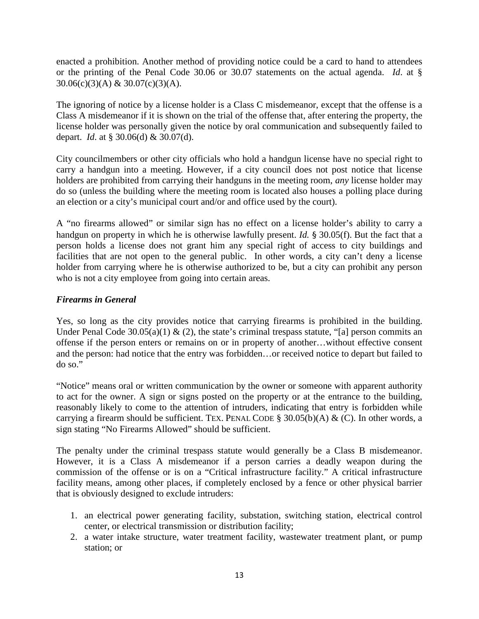enacted a prohibition. Another method of providing notice could be a card to hand to attendees or the printing of the Penal Code 30.06 or 30.07 statements on the actual agenda. *Id*. at § 30.06(c)(3)(A) & 30.07(c)(3)(A).

The ignoring of notice by a license holder is a Class C misdemeanor, except that the offense is a Class A misdemeanor if it is shown on the trial of the offense that, after entering the property, the license holder was personally given the notice by oral communication and subsequently failed to depart. *Id*. at § 30.06(d) & 30.07(d).

City councilmembers or other city officials who hold a handgun license have no special right to carry a handgun into a meeting. However, if a city council does not post notice that license holders are prohibited from carrying their handguns in the meeting room, *any* license holder may do so (unless the building where the meeting room is located also houses a polling place during an election or a city's municipal court and/or and office used by the court).

A "no firearms allowed" or similar sign has no effect on a license holder's ability to carry a handgun on property in which he is otherwise lawfully present. *Id.* § 30.05(f). But the fact that a person holds a license does not grant him any special right of access to city buildings and facilities that are not open to the general public. In other words, a city can't deny a license holder from carrying where he is otherwise authorized to be, but a city can prohibit any person who is not a city employee from going into certain areas.

# <span id="page-12-0"></span>*Firearms in General*

Yes, so long as the city provides notice that carrying firearms is prohibited in the building. Under Penal Code  $30.05(a)(1)$  & (2), the state's criminal trespass statute, "[a] person commits an offense if the person enters or remains on or in property of another…without effective consent and the person: had notice that the entry was forbidden…or received notice to depart but failed to do so."

"Notice" means oral or written communication by the owner or someone with apparent authority to act for the owner. A sign or signs posted on the property or at the entrance to the building, reasonably likely to come to the attention of intruders, indicating that entry is forbidden while carrying a firearm should be sufficient. TEX. PENAL CODE §  $30.05(b)(A) \& (C)$ . In other words, a sign stating "No Firearms Allowed" should be sufficient.

The penalty under the criminal trespass statute would generally be a Class B misdemeanor. However, it is a Class A misdemeanor if a person carries a deadly weapon during the commission of the offense or is on a "Critical infrastructure facility." A critical infrastructure facility means, among other places, if completely enclosed by a fence or other physical barrier that is obviously designed to exclude intruders:

- 1. an electrical power generating facility, substation, switching station, electrical control center, or electrical transmission or distribution facility;
- 2. a water intake structure, water treatment facility, wastewater treatment plant, or pump station; or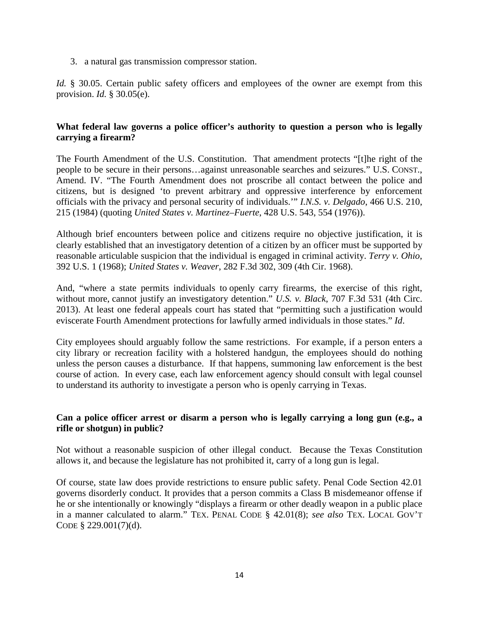3. a natural gas transmission compressor station.

*Id.* § 30.05. Certain public safety officers and employees of the owner are exempt from this provision. *Id.* § 30.05(e).

# <span id="page-13-0"></span>**What federal law governs a police officer's authority to question a person who is legally carrying a firearm?**

The Fourth Amendment of the U.S. Constitution. That amendment protects "[t]he right of the people to be secure in their persons…against unreasonable searches and seizures." U.S. CONST., Amend. IV. "The Fourth Amendment does not proscribe all contact between the police and citizens, but is designed 'to prevent arbitrary and oppressive interference by enforcement officials with the privacy and personal security of individuals.'" *I.N.S. v. Delgado*, 466 U.S. 210, 215 (1984) (quoting *United States v. Martinez–Fuerte*, 428 U.S. 543, 554 (1976)).

Although brief encounters between police and citizens require no objective justification, it is clearly established that an investigatory detention of a citizen by an officer must be supported by reasonable articulable suspicion that the individual is engaged in criminal activity. *Terry v. Ohio*, 392 U.S. 1 (1968); *United States v. Weaver*, 282 F.3d 302, 309 (4th Cir. 1968).

And, "where a state permits individuals to openly carry firearms, the exercise of this right, without more, cannot justify an investigatory detention." *U.S. v. Black*, 707 F.3d 531 (4th Circ. 2013). At least one federal appeals court has stated that "permitting such a justification would eviscerate Fourth Amendment protections for lawfully armed individuals in those states." *Id*.

City employees should arguably follow the same restrictions. For example, if a person enters a city library or recreation facility with a holstered handgun, the employees should do nothing unless the person causes a disturbance. If that happens, summoning law enforcement is the best course of action. In every case, each law enforcement agency should consult with legal counsel to understand its authority to investigate a person who is openly carrying in Texas.

#### <span id="page-13-1"></span>**Can a police officer arrest or disarm a person who is legally carrying a long gun (e.g., a rifle or shotgun) in public?**

Not without a reasonable suspicion of other illegal conduct. Because the Texas Constitution allows it, and because the legislature has not prohibited it, carry of a long gun is legal.

Of course, state law does provide restrictions to ensure public safety. Penal Code Section 42.01 governs disorderly conduct. It provides that a person commits a Class B misdemeanor offense if he or she intentionally or knowingly "displays a firearm or other deadly weapon in a public place in a manner calculated to alarm." TEX. PENAL CODE § 42.01(8); *see also* TEX. LOCAL GOV'T CODE § 229.001(7)(d).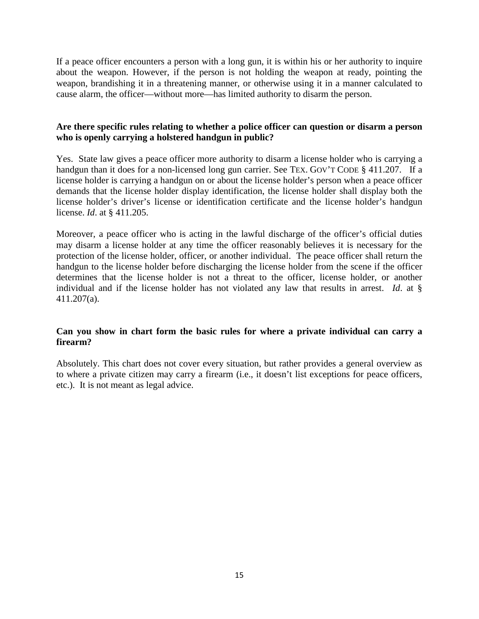If a peace officer encounters a person with a long gun, it is within his or her authority to inquire about the weapon. However, if the person is not holding the weapon at ready, pointing the weapon, brandishing it in a threatening manner, or otherwise using it in a manner calculated to cause alarm, the officer—without more—has limited authority to disarm the person.

# <span id="page-14-0"></span>**Are there specific rules relating to whether a police officer can question or disarm a person who is openly carrying a holstered handgun in public?**

Yes. State law gives a peace officer more authority to disarm a license holder who is carrying a handgun than it does for a non-licensed long gun carrier. See TEX. GOV'T CODE § 411.207. If a license holder is carrying a handgun on or about the license holder's person when a peace officer demands that the license holder display identification, the license holder shall display both the license holder's driver's license or identification certificate and the license holder's handgun license. *Id*. at § 411.205.

Moreover, a peace officer who is acting in the lawful discharge of the officer's official duties may disarm a license holder at any time the officer reasonably believes it is necessary for the protection of the license holder, officer, or another individual. The peace officer shall return the handgun to the license holder before discharging the license holder from the scene if the officer determines that the license holder is not a threat to the officer, license holder, or another individual and if the license holder has not violated any law that results in arrest. *Id*. at § 411.207(a).

# <span id="page-14-1"></span>**Can you show in chart form the basic rules for where a private individual can carry a firearm?**

Absolutely. This chart does not cover every situation, but rather provides a general overview as to where a private citizen may carry a firearm (i.e., it doesn't list exceptions for peace officers, etc.). It is not meant as legal advice.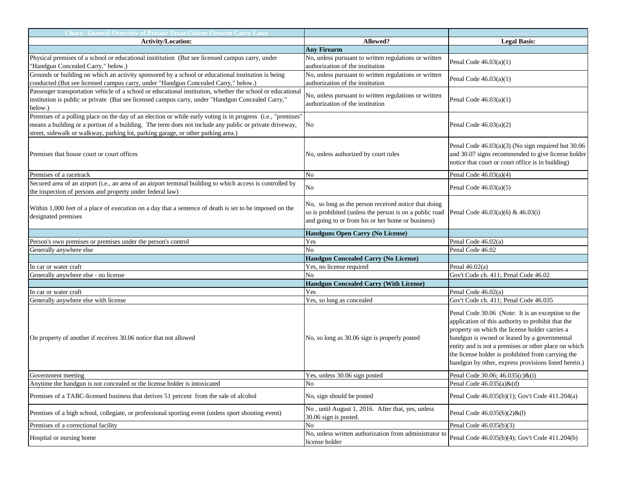| <b>Chart: General Overview of Private Texas Citizen Firearm Carry Laws</b>                                   |                                                                            |                                                                                                         |
|--------------------------------------------------------------------------------------------------------------|----------------------------------------------------------------------------|---------------------------------------------------------------------------------------------------------|
| <b>Activity/Location:</b>                                                                                    | Allowed?                                                                   | <b>Legal Basis:</b>                                                                                     |
|                                                                                                              | <b>Any Firearm</b>                                                         |                                                                                                         |
| Physical premises of a school or educational insititution (But see licensed campus carry, under              | No, unless pursuant to written regulations or written                      |                                                                                                         |
| "Handgun Concealed Carry," below.)                                                                           | authorization of the institution                                           | Penal Code $46.03(a)(1)$                                                                                |
| Grounds or building on which an activity sponsored by a school or educational institution is being           | No, unless pursuant to written regulations or written                      |                                                                                                         |
| conducted (But see licensed campus carry, under "Handgun Concealed Carry," below.)                           | authorization of the institution                                           | Penal Code $46.03(a)(1)$                                                                                |
| Passenger transportation vehicle of a school or educational institution, whether the school or educational   |                                                                            |                                                                                                         |
| institution is public or private (But see licensed campus carry, under "Handgun Concealed Carry,"            | No, unless pursuant to written regulations or written                      | Penal Code $46.03(a)(1)$                                                                                |
| below.)                                                                                                      | authorization of the institution                                           |                                                                                                         |
| Premises of a polling place on the day of an election or while early voting is in progress (i.e., "premises" |                                                                            |                                                                                                         |
| means a building or a portion of a building. The term does not include any public or private driveway,       | No                                                                         | Penal Code $46.03(a)(2)$                                                                                |
| street, sidewalk or walkway, parking lot, parking garage, or other parking area.)                            |                                                                            |                                                                                                         |
|                                                                                                              |                                                                            | Penal Code 46.03(a)(3) (No sign required but 30.06                                                      |
| Premises that house court or court offices                                                                   | No, unless authorized by court rules                                       | and 30.07 signs recommended to give license holder                                                      |
|                                                                                                              |                                                                            | notice that court or court office is in building)                                                       |
|                                                                                                              |                                                                            |                                                                                                         |
| Premises of a racetrack                                                                                      | N <sub>o</sub>                                                             | Penal Code $46.03(a)(4)$                                                                                |
| Secured area of an airport (i.e., an area of an airport terminal building to which access is controlled by   | N <sub>o</sub>                                                             | Penal Code $46.03(a)(5)$                                                                                |
| the inspection of persons and property under federal law)                                                    |                                                                            |                                                                                                         |
| Within 1,000 feet of a place of execution on a day that a sentence of death is set to be imposed on the      | No, so long as the person received notice that doing                       |                                                                                                         |
| designated premises                                                                                          | so is prohibited (unless the person is on a public road                    | Penal Code $46.03(a)(6)$ & $46.03(i)$                                                                   |
|                                                                                                              | and going to or from his or her home or business)                          |                                                                                                         |
|                                                                                                              | Handguns Open Carry (No License)                                           |                                                                                                         |
| Person's own premises or premises under the person's control                                                 | Yes                                                                        | Penal Code 46.02(a)                                                                                     |
| Generally anywhere else                                                                                      | N <sub>o</sub>                                                             | Penal Code 46.02                                                                                        |
|                                                                                                              | <b>Handgun Concealed Carry (No License)</b>                                |                                                                                                         |
| In car or water craft                                                                                        | Yes, no license required                                                   | Penal $46.02(a)$                                                                                        |
| Generally anywhere else - no license                                                                         | No                                                                         | Gov't Code ch. 411; Penal Code 46.02                                                                    |
|                                                                                                              | <b>Handgun Concealed Carry (With License)</b>                              |                                                                                                         |
| In car or water craft                                                                                        | Yes                                                                        | Penal Code 46.02(a)                                                                                     |
| Generally anywhere else with license                                                                         | Yes, so long as concealed                                                  | Gov't Code ch. 411; Penal Code 46.035                                                                   |
|                                                                                                              |                                                                            |                                                                                                         |
|                                                                                                              |                                                                            | Penal Code 30.06 (Note: It is an exception to the<br>application of this authority to prohibit that the |
|                                                                                                              |                                                                            | property on which the license holder carries a                                                          |
|                                                                                                              |                                                                            | handgun is owned or leased by a governmental                                                            |
| On property of another if receives 30.06 notice that not allowed                                             | No, so long as 30.06 sign is properly posted                               | entity and is not a premises or other place on which                                                    |
|                                                                                                              |                                                                            | the license holder is prohibited from carrying the                                                      |
|                                                                                                              |                                                                            | handgun by other, express provisions listed herein.)                                                    |
|                                                                                                              |                                                                            |                                                                                                         |
| Government meeting                                                                                           | Yes, unless 30.06 sign posted                                              | Penal Code 30.06; 46.035(c)&(i)                                                                         |
| Anytime the handgun is not concealed or the license holder is intoxicated                                    | N <sub>o</sub>                                                             | Penal Code $46.035(a) \& (d)$                                                                           |
| Premises of a TABC-licensed business that derives 51 percent from the sale of alcohol                        | No, sign should be posted                                                  | Penal Code 46.035(b)(1); Gov't Code 411.204(a)                                                          |
| Premises of a high school, collegiate, or professional sporting event (unless sport shooting event)          | No, until August 1, 2016. After that, yes, unless<br>30.06 sign is posted. | Penal Code $46.035(b)(2)$ &(1)                                                                          |
| Premises of a correctional facility                                                                          | No                                                                         | Penal Code 46.035(b)(3)                                                                                 |
|                                                                                                              | No, unless written authorization from administrator to                     |                                                                                                         |
| Hospital or nursing home                                                                                     | license holder                                                             | Penal Code 46.035(b)(4); Gov't Code 411.204(b)                                                          |
|                                                                                                              |                                                                            |                                                                                                         |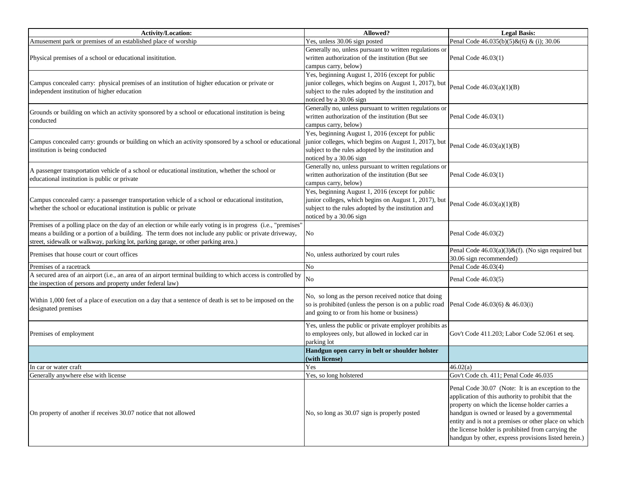| <b>Activity/Location:</b>                                                                                                                                                                                                                                                                                   | Allowed?                                                                                                                                                                                    | <b>Legal Basis:</b>                                                                                                                                                                                                                                                                                                                                                             |
|-------------------------------------------------------------------------------------------------------------------------------------------------------------------------------------------------------------------------------------------------------------------------------------------------------------|---------------------------------------------------------------------------------------------------------------------------------------------------------------------------------------------|---------------------------------------------------------------------------------------------------------------------------------------------------------------------------------------------------------------------------------------------------------------------------------------------------------------------------------------------------------------------------------|
| Amusement park or premises of an established place of worship                                                                                                                                                                                                                                               | Yes, unless 30.06 sign posted                                                                                                                                                               | Penal Code $46.035(b)(5)$ & $(6)$ & (i); 30.06                                                                                                                                                                                                                                                                                                                                  |
| Physical premises of a school or educational insititution.                                                                                                                                                                                                                                                  | Generally no, unless pursuant to written regulations or<br>written authorization of the institution (But see<br>campus carry, below)                                                        | Penal Code 46.03(1)                                                                                                                                                                                                                                                                                                                                                             |
| Campus concealed carry: physical premises of an institution of higher education or private or<br>independent institution of higher education                                                                                                                                                                | Yes, beginning August 1, 2016 (except for public<br>junior colleges, which begins on August 1, 2017), but<br>subject to the rules adopted by the institution and<br>noticed by a 30.06 sign | Penal Code $46.03(a)(1)(B)$                                                                                                                                                                                                                                                                                                                                                     |
| Grounds or building on which an activity sponsored by a school or educational institution is being<br>conducted                                                                                                                                                                                             | Generally no, unless pursuant to written regulations or<br>written authorization of the institution (But see<br>campus carry, below)                                                        | Penal Code 46.03(1)                                                                                                                                                                                                                                                                                                                                                             |
| Campus concealed carry: grounds or building on which an activity sponsored by a school or educational<br>institution is being conducted                                                                                                                                                                     | Yes, beginning August 1, 2016 (except for public<br>junior colleges, which begins on August 1, 2017), but<br>subject to the rules adopted by the institution and<br>noticed by a 30.06 sign | Penal Code $46.03(a)(1)(B)$                                                                                                                                                                                                                                                                                                                                                     |
| A passenger transportation vehicle of a school or educational institution, whether the school or<br>educational institution is public or private                                                                                                                                                            | Generally no, unless pursuant to written regulations or<br>written authorization of the institution (But see<br>campus carry, below)                                                        | Penal Code 46.03(1)                                                                                                                                                                                                                                                                                                                                                             |
| Campus concealed carry: a passenger transportation vehicle of a school or educational institution,<br>whether the school or educational institution is public or private                                                                                                                                    | Yes, beginning August 1, 2016 (except for public<br>junior colleges, which begins on August 1, 2017), but<br>subject to the rules adopted by the institution and<br>noticed by a 30.06 sign | Penal Code $46.03(a)(1)(B)$                                                                                                                                                                                                                                                                                                                                                     |
| Premises of a polling place on the day of an election or while early voting is in progress (i.e., "premises"<br>means a building or a portion of a building. The term does not include any public or private driveway,<br>street, sidewalk or walkway, parking lot, parking garage, or other parking area.) | No                                                                                                                                                                                          | Penal Code 46.03(2)                                                                                                                                                                                                                                                                                                                                                             |
| Premises that house court or court offices                                                                                                                                                                                                                                                                  | No, unless authorized by court rules                                                                                                                                                        | Penal Code $46.03(a)(3)$ &(f). (No sign required but<br>30.06 sign recommended)                                                                                                                                                                                                                                                                                                 |
| Premises of a racetrack                                                                                                                                                                                                                                                                                     | N <sub>o</sub>                                                                                                                                                                              | Penal Code 46.03(4)                                                                                                                                                                                                                                                                                                                                                             |
| A secured area of an airport (i.e., an area of an airport terminal building to which access is controlled by<br>the inspection of persons and property under federal law)                                                                                                                                   | N <sub>o</sub>                                                                                                                                                                              | Penal Code 46.03(5)                                                                                                                                                                                                                                                                                                                                                             |
| Within 1,000 feet of a place of execution on a day that a sentence of death is set to be imposed on the<br>designated premises                                                                                                                                                                              | No, so long as the person received notice that doing<br>so is prohibited (unless the person is on a public road<br>and going to or from his home or business)                               | Penal Code 46.03(6) & 46.03(i)                                                                                                                                                                                                                                                                                                                                                  |
| Premises of employment                                                                                                                                                                                                                                                                                      | Yes, unless the public or private employer prohibits as<br>to employees only, but allowed in locked car in<br>parking lot                                                                   | Gov't Code 411.203; Labor Code 52.061 et seq.                                                                                                                                                                                                                                                                                                                                   |
|                                                                                                                                                                                                                                                                                                             | Handgun open carry in belt or shoulder holster<br>(with license)                                                                                                                            |                                                                                                                                                                                                                                                                                                                                                                                 |
| In car or water craft                                                                                                                                                                                                                                                                                       | Yes                                                                                                                                                                                         | 46.02(a)                                                                                                                                                                                                                                                                                                                                                                        |
| Generally anywhere else with license                                                                                                                                                                                                                                                                        | Yes, so long holstered                                                                                                                                                                      | Gov't Code ch. 411; Penal Code 46.035                                                                                                                                                                                                                                                                                                                                           |
| On property of another if receives 30.07 notice that not allowed                                                                                                                                                                                                                                            | No, so long as 30.07 sign is properly posted                                                                                                                                                | Penal Code 30.07 (Note: It is an exception to the<br>application of this authority to prohibit that the<br>property on which the license holder carries a<br>handgun is owned or leased by a governmental<br>entity and is not a premises or other place on which<br>the license holder is prohibited from carrying the<br>handgun by other, express provisions listed herein.) |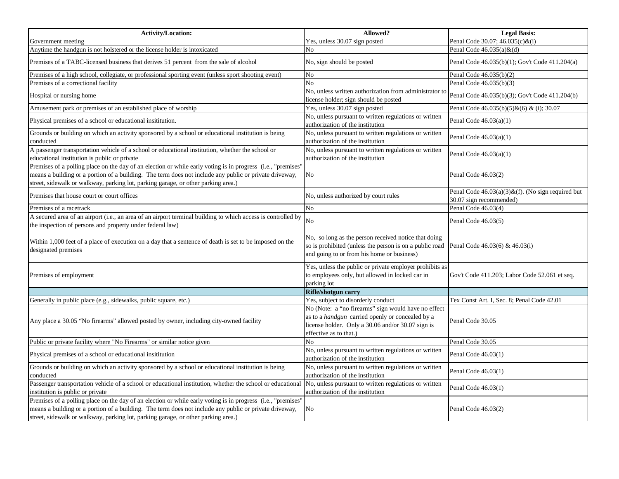| <b>Activity/Location:</b>                                                                                                                                                                                                                                                                                   | Allowed?                                                                                                                                                                               | <b>Legal Basis:</b>                                                             |
|-------------------------------------------------------------------------------------------------------------------------------------------------------------------------------------------------------------------------------------------------------------------------------------------------------------|----------------------------------------------------------------------------------------------------------------------------------------------------------------------------------------|---------------------------------------------------------------------------------|
| Government meeting                                                                                                                                                                                                                                                                                          | Yes, unless 30.07 sign posted                                                                                                                                                          | Penal Code 30.07; 46.035(c)&(i)                                                 |
| Anytime the handgun is not holstered or the license holder is intoxicated                                                                                                                                                                                                                                   | No                                                                                                                                                                                     | Penal Code $46.035(a) \& (d)$                                                   |
| Premises of a TABC-licensed business that derives 51 percent from the sale of alcohol                                                                                                                                                                                                                       | No, sign should be posted                                                                                                                                                              | Penal Code 46.035(b)(1); Gov't Code 411.204(a)                                  |
| Premises of a high school, collegiate, or professional sporting event (unless sport shooting event)                                                                                                                                                                                                         | No                                                                                                                                                                                     | Penal Code 46.035(b)(2)                                                         |
| Premises of a correctional facility                                                                                                                                                                                                                                                                         | No                                                                                                                                                                                     | Penal Code 46.035(b)(3)                                                         |
| Hospital or nursing home                                                                                                                                                                                                                                                                                    | No, unless written authorization from administrator to<br>license holder; sign should be posted                                                                                        | Penal Code 46.035(b)(3); Gov't Code 411.204(b)                                  |
| Amusement park or premises of an established place of worship                                                                                                                                                                                                                                               | Yes, unless 30.07 sign posted                                                                                                                                                          | Penal Code $46.035(b)(5)$ & $(6)$ & (i); 30.07                                  |
| Physical premises of a school or educational insititution.                                                                                                                                                                                                                                                  | No, unless pursuant to written regulations or written<br>authorization of the institution                                                                                              | Penal Code $46.03(a)(1)$                                                        |
| Grounds or building on which an activity sponsored by a school or educational institution is being<br>conducted                                                                                                                                                                                             | No, unless pursuant to written regulations or written<br>authorization of the institution                                                                                              | Penal Code $46.03(a)(1)$                                                        |
| A passenger transportation vehicle of a school or educational institution, whether the school or<br>educational institution is public or private                                                                                                                                                            | No, unless pursuant to written regulations or written<br>authorization of the institution                                                                                              | Penal Code $46.03(a)(1)$                                                        |
| Premises of a polling place on the day of an election or while early voting is in progress (i.e., "premises"<br>means a building or a portion of a building. The term does not include any public or private driveway,<br>street, sidewalk or walkway, parking lot, parking garage, or other parking area.) | No                                                                                                                                                                                     | Penal Code 46.03(2)                                                             |
| Premises that house court or court offices                                                                                                                                                                                                                                                                  | No, unless authorized by court rules                                                                                                                                                   | Penal Code $46.03(a)(3)$ &(f). (No sign required but<br>30.07 sign recommended) |
| Premises of a racetrack                                                                                                                                                                                                                                                                                     | No                                                                                                                                                                                     | Penal Code 46.03(4)                                                             |
| A secured area of an airport (i.e., an area of an airport terminal building to which access is controlled by<br>the inspection of persons and property under federal law)                                                                                                                                   | No                                                                                                                                                                                     | Penal Code 46.03(5)                                                             |
| Within 1,000 feet of a place of execution on a day that a sentence of death is set to be imposed on the<br>designated premises                                                                                                                                                                              | No, so long as the person received notice that doing<br>so is prohibited (unless the person is on a public road<br>and going to or from his home or business)                          | Penal Code 46.03(6) & 46.03(i)                                                  |
| Premises of employment                                                                                                                                                                                                                                                                                      | Yes, unless the public or private employer prohibits as<br>to employees only, but allowed in locked car in<br>parking lot                                                              | Gov't Code 411.203; Labor Code 52.061 et seq.                                   |
|                                                                                                                                                                                                                                                                                                             | Rifle/shotgun carry                                                                                                                                                                    |                                                                                 |
| Generally in public place (e.g., sidewalks, public square, etc.)                                                                                                                                                                                                                                            | Yes, subject to disorderly conduct                                                                                                                                                     | Tex Const Art. I, Sec. 8; Penal Code 42.01                                      |
| Any place a 30.05 "No firearms" allowed posted by owner, including city-owned facility                                                                                                                                                                                                                      | No (Note: a "no firearms" sign would have no effect<br>as to a handgun carried openly or concealed by a<br>license holder. Only a 30.06 and/or 30.07 sign is<br>effective as to that.) | Penal Code 30.05                                                                |
| Public or private facility where "No Firearms" or similar notice given                                                                                                                                                                                                                                      | No                                                                                                                                                                                     | Penal Code 30.05                                                                |
| Physical premises of a school or educational insititution                                                                                                                                                                                                                                                   | No, unless pursuant to written regulations or written<br>authorization of the institution                                                                                              | Penal Code 46.03(1)                                                             |
| Grounds or building on which an activity sponsored by a school or educational institution is being<br>conducted                                                                                                                                                                                             | No, unless pursuant to written regulations or written<br>authorization of the institution                                                                                              | Penal Code 46.03(1)                                                             |
| Passenger transportation vehicle of a school or educational institution, whether the school or educational<br>institution is public or private                                                                                                                                                              | No, unless pursuant to written regulations or written<br>authorization of the institution                                                                                              | Penal Code 46.03(1)                                                             |
| Premises of a polling place on the day of an election or while early voting is in progress (i.e., "premises"<br>means a building or a portion of a building. The term does not include any public or private driveway,<br>street, sidewalk or walkway, parking lot, parking garage, or other parking area.) | No                                                                                                                                                                                     | Penal Code 46.03(2)                                                             |